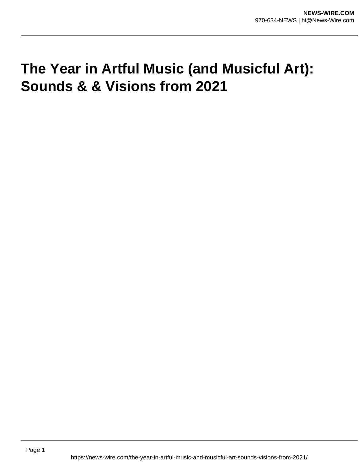# **The Year in Artful Music (and Musicful Art): Sounds & & Visions from 2021**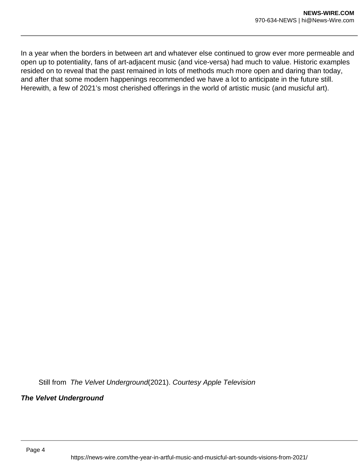In a year when the borders in between art and whatever else continued to grow ever more permeable and open up to potentiality, fans of art-adjacent music (and vice-versa) had much to value. Historic examples resided on to reveal that the past remained in lots of methods much more open and daring than today, and after that some modern happenings recommended we have a lot to anticipate in the future still. Herewith, a few of 2021's most cherished offerings in the world of artistic music (and musicful art).

Still from The Velvet Underground(2021). Courtesy Apple Television

**The Velvet Underground**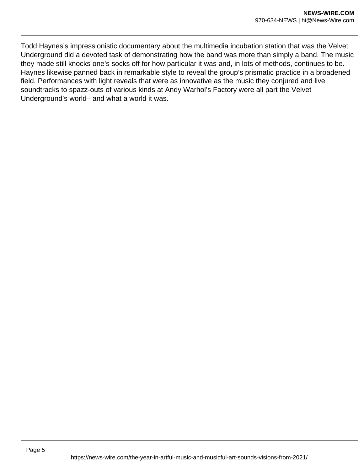Todd Haynes's impressionistic documentary about the multimedia incubation station that was the Velvet Underground did a devoted task of demonstrating how the band was more than simply a band. The music they made still knocks one's socks off for how particular it was and, in lots of methods, continues to be. Haynes likewise panned back in remarkable style to reveal the group's prismatic practice in a broadened field. Performances with light reveals that were as innovative as the music they conjured and live soundtracks to spazz-outs of various kinds at Andy Warhol's Factory were all part the Velvet Underground's world– and what a world it was.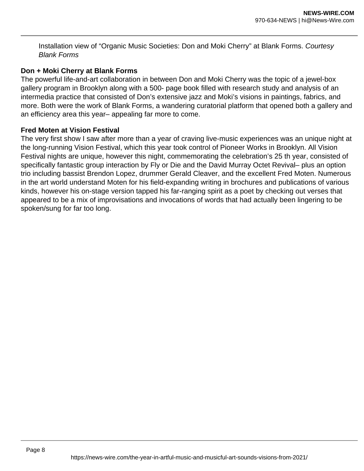Installation view of "Organic Music Societies: Don and Moki Cherry" at Blank Forms. Courtesy Blank Forms

### **Don + Moki Cherry at Blank Forms**

The powerful life-and-art collaboration in between Don and Moki Cherry was the topic of a jewel-box gallery program in Brooklyn along with a 500- page book filled with research study and analysis of an intermedia practice that consisted of Don's extensive jazz and Moki's visions in paintings, fabrics, and more. Both were the work of Blank Forms, a wandering curatorial platform that opened both a gallery and an efficiency area this year– appealing far more to come.

#### **Fred Moten at Vision Festival**

The very first show I saw after more than a year of craving live-music experiences was an unique night at the long-running Vision Festival, which this year took control of Pioneer Works in Brooklyn. All Vision Festival nights are unique, however this night, commemorating the celebration's 25 th year, consisted of specifically fantastic group interaction by Fly or Die and the David Murray Octet Revival– plus an option trio including bassist Brendon Lopez, drummer Gerald Cleaver, and the excellent Fred Moten. Numerous in the art world understand Moten for his field-expanding writing in brochures and publications of various kinds, however his on-stage version tapped his far-ranging spirit as a poet by checking out verses that appeared to be a mix of improvisations and invocations of words that had actually been lingering to be spoken/sung for far too long.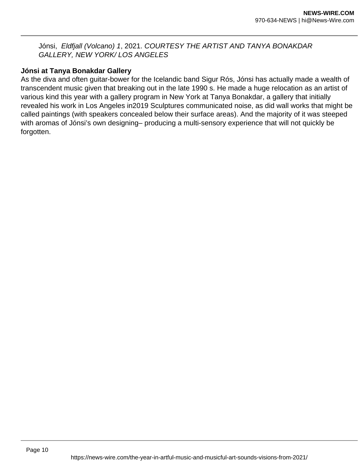Jónsi, Eldfjall (Volcano) 1, 2021. COURTESY THE ARTIST AND TANYA BONAKDAR GALLERY, NEW YORK/ LOS ANGELES

# **Jónsi at Tanya Bonakdar Gallery**

As the diva and often guitar-bower for the Icelandic band Sigur Rós, Jónsi has actually made a wealth of transcendent music given that breaking out in the late 1990 s. He made a huge relocation as an artist of various kind this year with a gallery program in New York at Tanya Bonakdar, a gallery that initially revealed his work in Los Angeles in2019 Sculptures communicated noise, as did wall works that might be called paintings (with speakers concealed below their surface areas). And the majority of it was steeped with aromas of Jónsi's own designing– producing a multi-sensory experience that will not quickly be forgotten.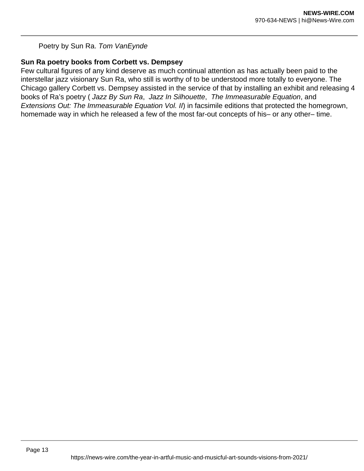# Poetry by Sun Ra. Tom VanEynde

# **Sun Ra poetry books from Corbett vs. Dempsey**

Few cultural figures of any kind deserve as much continual attention as has actually been paid to the interstellar jazz visionary Sun Ra, who still is worthy of to be understood more totally to everyone. The Chicago gallery Corbett vs. Dempsey assisted in the service of that by installing an exhibit and releasing 4 books of Ra's poetry ( Jazz By Sun Ra, Jazz In Silhouette, The Immeasurable Equation, and Extensions Out: The Immeasurable Equation Vol. II) in facsimile editions that protected the homegrown, homemade way in which he released a few of the most far-out concepts of his– or any other– time.